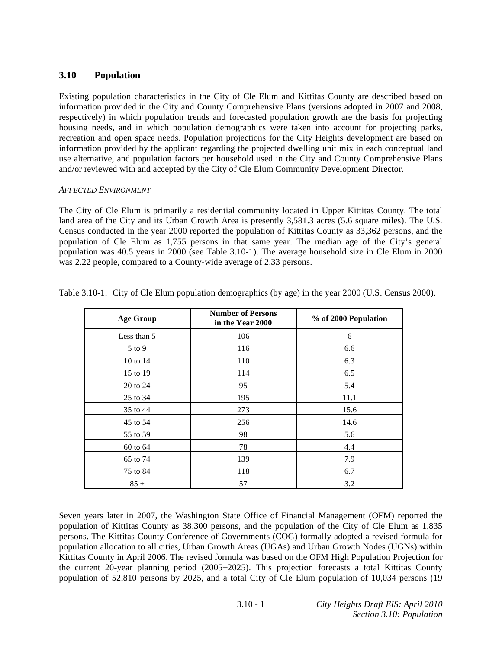# **3.10 Population**

Existing population characteristics in the City of Cle Elum and Kittitas County are described based on information provided in the City and County Comprehensive Plans (versions adopted in 2007 and 2008, respectively) in which population trends and forecasted population growth are the basis for projecting housing needs, and in which population demographics were taken into account for projecting parks, recreation and open space needs. Population projections for the City Heights development are based on information provided by the applicant regarding the projected dwelling unit mix in each conceptual land use alternative, and population factors per household used in the City and County Comprehensive Plans and/or reviewed with and accepted by the City of Cle Elum Community Development Director.

# *AFFECTED ENVIRONMENT*

The City of Cle Elum is primarily a residential community located in Upper Kittitas County. The total land area of the City and its Urban Growth Area is presently 3,581.3 acres (5.6 square miles). The U.S. Census conducted in the year 2000 reported the population of Kittitas County as 33,362 persons, and the population of Cle Elum as 1,755 persons in that same year. The median age of the City's general population was 40.5 years in 2000 (see Table 3.10-1). The average household size in Cle Elum in 2000 was 2.22 people, compared to a County-wide average of 2.33 persons.

| <b>Age Group</b> | <b>Number of Persons</b><br>in the Year 2000 | % of 2000 Population |
|------------------|----------------------------------------------|----------------------|
| Less than 5      | 106                                          | 6                    |
| 5 to 9           | 116                                          | 6.6                  |
| 10 to 14         | 110                                          | 6.3                  |
| 15 to 19         | 114                                          | 6.5                  |
| 20 to 24         | 95                                           | 5.4                  |
| 25 to 34         | 195                                          | 11.1                 |
| 35 to 44         | 273                                          | 15.6                 |
| 45 to 54         | 256                                          | 14.6                 |
| 55 to 59         | 98                                           | 5.6                  |
| 60 to 64         | 78                                           | 4.4                  |
| 65 to 74         | 139                                          | 7.9                  |
| 75 to 84         | 118                                          | 6.7                  |
| $85 +$           | 57                                           | 3.2                  |

Table 3.10-1. City of Cle Elum population demographics (by age) in the year 2000 (U.S. Census 2000).

Seven years later in 2007, the Washington State Office of Financial Management (OFM) reported the population of Kittitas County as 38,300 persons, and the population of the City of Cle Elum as 1,835 persons. The Kittitas County Conference of Governments (COG) formally adopted a revised formula for population allocation to all cities, Urban Growth Areas (UGAs) and Urban Growth Nodes (UGNs) within Kittitas County in April 2006. The revised formula was based on the OFM High Population Projection for the current 20-year planning period (2005-2025). This projection forecasts a total Kittitas County population of 52,810 persons by 2025, and a total City of Cle Elum population of 10,034 persons (19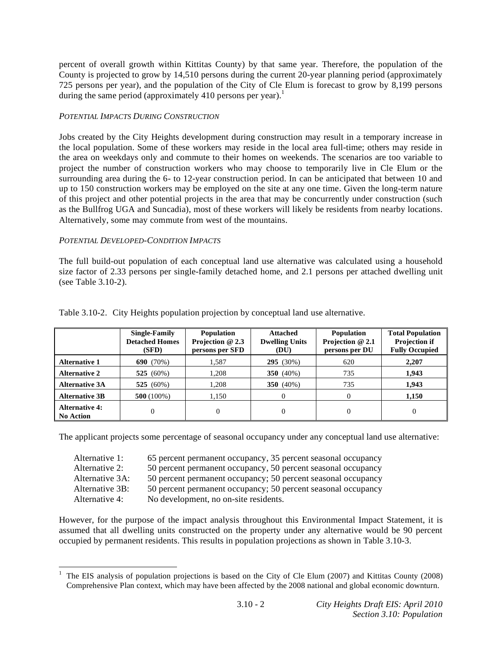percent of overall growth within Kittitas County) by that same year. Therefore, the population of the County is projected to grow by 14,510 persons during the current 20-year planning period (approximately 725 persons per year), and the population of the City of Cle Elum is forecast to grow by 8,199 persons during the same period (approximately  $410$  persons per year).<sup>1</sup>

## *POTENTIAL IMPACTS DURING CONSTRUCTION*

Jobs created by the City Heights development during construction may result in a temporary increase in the local population. Some of these workers may reside in the local area full-time; others may reside in the area on weekdays only and commute to their homes on weekends. The scenarios are too variable to project the number of construction workers who may choose to temporarily live in Cle Elum or the surrounding area during the 6- to 12-year construction period. In can be anticipated that between 10 and up to 150 construction workers may be employed on the site at any one time. Given the long-term nature of this project and other potential projects in the area that may be concurrently under construction (such as the Bullfrog UGA and Suncadia), most of these workers will likely be residents from nearby locations. Alternatively, some may commute from west of the mountains.

#### *POTENTIAL DEVELOPED-CONDITION IMPACTS*

The full build-out population of each conceptual land use alternative was calculated using a household size factor of 2.33 persons per single-family detached home, and 2.1 persons per attached dwelling unit (see Table 3.10-2).

|                                           | <b>Single-Family</b><br><b>Detached Homes</b><br>(SFD) | <b>Population</b><br>Projection @ 2.3<br>persons per SFD | Attached<br><b>Dwelling Units</b><br>(DU) | <b>Population</b><br>Projection @ 2.1<br>persons per DU | <b>Total Population</b><br><b>Projection if</b><br><b>Fully Occupied</b> |
|-------------------------------------------|--------------------------------------------------------|----------------------------------------------------------|-------------------------------------------|---------------------------------------------------------|--------------------------------------------------------------------------|
| <b>Alternative 1</b>                      | 690 $(70\%)$                                           | 1.587                                                    | 295 (30%)                                 | 620                                                     | 2,207                                                                    |
| <b>Alternative 2</b>                      | 525 $(60\%)$                                           | 1,208                                                    | 350 $(40\%)$                              | 735                                                     | 1.943                                                                    |
| <b>Alternative 3A</b>                     | 525 $(60\%)$                                           | 1.208                                                    | 350 $(40\%)$                              | 735                                                     | 1,943                                                                    |
| <b>Alternative 3B</b>                     | $500(100\%)$                                           | 1,150                                                    | 0                                         | 0                                                       | 1,150                                                                    |
| <b>Alternative 4:</b><br><b>No Action</b> | $\theta$                                               |                                                          | 0                                         | $\theta$                                                | $\Omega$                                                                 |

Table 3.10-2. City Heights population projection by conceptual land use alternative.

The applicant projects some percentage of seasonal occupancy under any conceptual land use alternative:

| Alternative 1:  | 65 percent permanent occupancy, 35 percent seasonal occupancy |
|-----------------|---------------------------------------------------------------|
| Alternative 2:  | 50 percent permanent occupancy, 50 percent seasonal occupancy |
| Alternative 3A: | 50 percent permanent occupancy; 50 percent seasonal occupancy |
| Alternative 3B: | 50 percent permanent occupancy; 50 percent seasonal occupancy |
| Alternative 4:  | No development, no on-site residents.                         |

However, for the purpose of the impact analysis throughout this Environmental Impact Statement, it is assumed that all dwelling units constructed on the property under any alternative would be 90 percent occupied by permanent residents. This results in population projections as shown in Table 3.10-3.

<sup>&</sup>lt;sup>1</sup> The EIS analysis of population projections is based on the City of Cle Elum (2007) and Kittitas County (2008) Comprehensive Plan context, which may have been affected by the 2008 national and global economic downturn.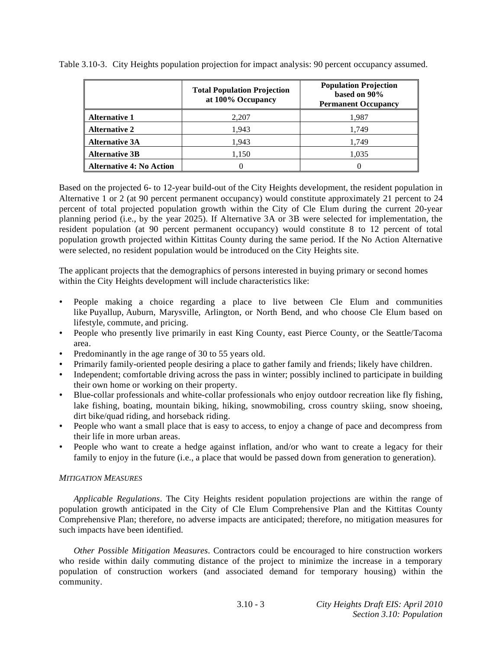|                                 | <b>Total Population Projection</b><br>at 100% Occupancy | <b>Population Projection</b><br>based on 90%<br><b>Permanent Occupancy</b> |
|---------------------------------|---------------------------------------------------------|----------------------------------------------------------------------------|
| <b>Alternative 1</b>            | 2,207                                                   | 1.987                                                                      |
| <b>Alternative 2</b>            | 1,943                                                   | 1,749                                                                      |
| <b>Alternative 3A</b>           | 1,943                                                   | 1.749                                                                      |
| <b>Alternative 3B</b>           | 1,150                                                   | 1,035                                                                      |
| <b>Alternative 4: No Action</b> |                                                         |                                                                            |

Table 3.10-3. City Heights population projection for impact analysis: 90 percent occupancy assumed.

Based on the projected 6- to 12-year build-out of the City Heights development, the resident population in Alternative 1 or 2 (at 90 percent permanent occupancy) would constitute approximately 21 percent to 24 percent of total projected population growth within the City of Cle Elum during the current 20-year planning period (i.e., by the year 2025). If Alternative 3A or 3B were selected for implementation, the resident population (at 90 percent permanent occupancy) would constitute 8 to 12 percent of total population growth projected within Kittitas County during the same period. If the No Action Alternative were selected, no resident population would be introduced on the City Heights site.

The applicant projects that the demographics of persons interested in buying primary or second homes within the City Heights development will include characteristics like:

- People making a choice regarding a place to live between Cle Elum and communities like Puyallup, Auburn, Marysville, Arlington, or North Bend, and who choose Cle Elum based on lifestyle, commute, and pricing.
- People who presently live primarily in east King County, east Pierce County, or the Seattle/Tacoma area.
- Predominantly in the age range of 30 to 55 years old.
- Primarily family-oriented people desiring a place to gather family and friends; likely have children.
- Independent; comfortable driving across the pass in winter; possibly inclined to participate in building their own home or working on their property.
- Blue-collar professionals and white-collar professionals who enjoy outdoor recreation like fly fishing, lake fishing, boating, mountain biking, hiking, snowmobiling, cross country skiing, snow shoeing, dirt bike/quad riding, and horseback riding.
- People who want a small place that is easy to access, to enjoy a change of pace and decompress from their life in more urban areas.
- People who want to create a hedge against inflation, and/or who want to create a legacy for their family to enjoy in the future (i.e., a place that would be passed down from generation to generation).

#### *MITIGATION MEASURES*

*Applicable Regulations*. The City Heights resident population projections are within the range of population growth anticipated in the City of Cle Elum Comprehensive Plan and the Kittitas County Comprehensive Plan; therefore, no adverse impacts are anticipated; therefore, no mitigation measures for such impacts have been identified.

*Other Possible Mitigation Measures*. Contractors could be encouraged to hire construction workers who reside within daily commuting distance of the project to minimize the increase in a temporary population of construction workers (and associated demand for temporary housing) within the community.